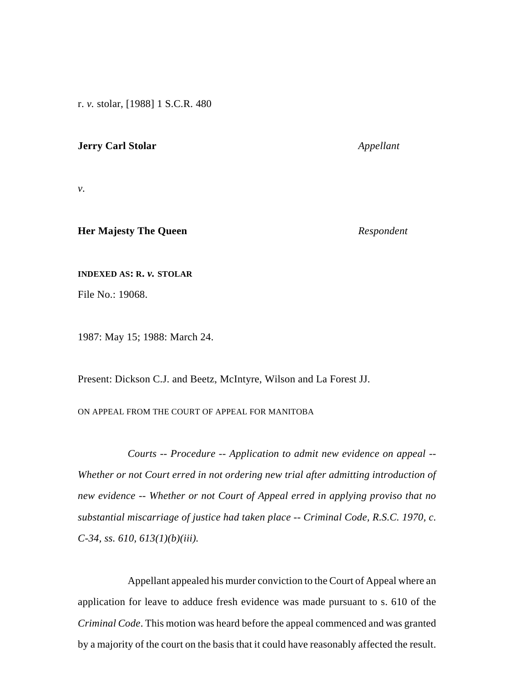r. *v.* stolar, [1988] 1 S.C.R. 480

## **Jerry Carl Stolar** *Appellant*

*v.*

# **Her Majesty The Queen** *Respondent*

#### **INDEXED AS: R.** *v.* **STOLAR**

File No.: 19068.

1987: May 15; 1988: March 24.

Present: Dickson C.J. and Beetz, McIntyre, Wilson and La Forest JJ.

# ON APPEAL FROM THE COURT OF APPEAL FOR MANITOBA

*Courts -- Procedure -- Application to admit new evidence on appeal -- Whether or not Court erred in not ordering new trial after admitting introduction of new evidence -- Whether or not Court of Appeal erred in applying proviso that no substantial miscarriage of justice had taken place -- Criminal Code, R.S.C. 1970, c. C-34, ss. 610, 613(1)(b)(iii).*

Appellant appealed his murder conviction to the Court of Appeal where an application for leave to adduce fresh evidence was made pursuant to s. 610 of the *Criminal Code*. This motion was heard before the appeal commenced and was granted by a majority of the court on the basis that it could have reasonably affected the result.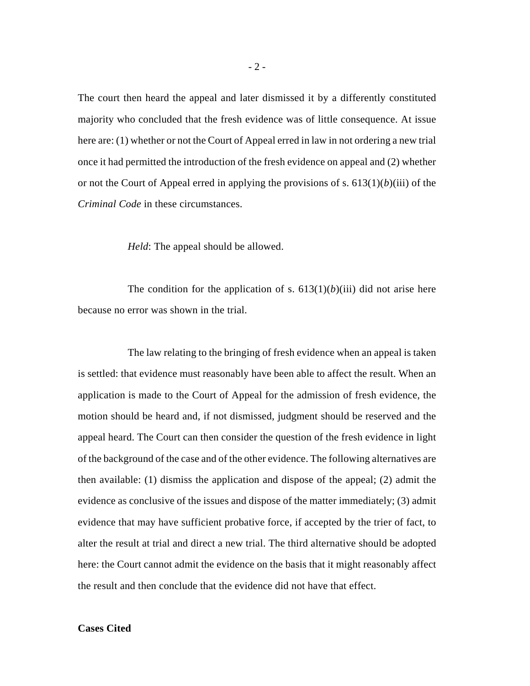The court then heard the appeal and later dismissed it by a differently constituted majority who concluded that the fresh evidence was of little consequence. At issue here are: (1) whether or not the Court of Appeal erred in law in not ordering a new trial once it had permitted the introduction of the fresh evidence on appeal and (2) whether or not the Court of Appeal erred in applying the provisions of s. 613(1)(*b*)(iii) of the *Criminal Code* in these circumstances.

*Held*: The appeal should be allowed.

The condition for the application of s.  $613(1)(b)(iii)$  did not arise here because no error was shown in the trial.

The law relating to the bringing of fresh evidence when an appeal is taken is settled: that evidence must reasonably have been able to affect the result. When an application is made to the Court of Appeal for the admission of fresh evidence, the motion should be heard and, if not dismissed, judgment should be reserved and the appeal heard. The Court can then consider the question of the fresh evidence in light of the background of the case and of the other evidence. The following alternatives are then available: (1) dismiss the application and dispose of the appeal; (2) admit the evidence as conclusive of the issues and dispose of the matter immediately; (3) admit evidence that may have sufficient probative force, if accepted by the trier of fact, to alter the result at trial and direct a new trial. The third alternative should be adopted here: the Court cannot admit the evidence on the basis that it might reasonably affect the result and then conclude that the evidence did not have that effect.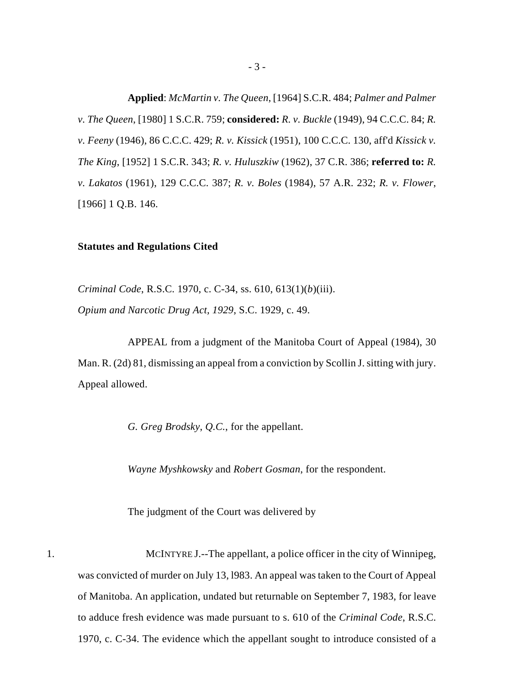**Applied**: *McMartin v. The Queen*, [1964] S.C.R. 484; *Palmer and Palmer v. The Queen*, [1980] 1 S.C.R. 759; **considered:** *R. v. Buckle* (1949), 94 C.C.C. 84; *R. v. Feeny* (1946), 86 C.C.C. 429; *R. v. Kissick* (1951), 100 C.C.C. 130, aff'd *Kissick v. The King*, [1952] 1 S.C.R. 343; *R. v. Huluszkiw* (1962), 37 C.R. 386; **referred to:** *R. v. Lakatos* (1961), 129 C.C.C. 387; *R. v. Boles* (1984), 57 A.R. 232; *R. v. Flower*, [1966] 1 Q.B. 146.

#### **Statutes and Regulations Cited**

*Criminal Code*, R.S.C. 1970, c. C-34, ss. 610, 613(1)(*b*)(iii). *Opium and Narcotic Drug Act, 1929*, S.C. 1929, c. 49.

APPEAL from a judgment of the Manitoba Court of Appeal (1984), 30 Man. R. (2d) 81, dismissing an appeal from a conviction by Scollin J. sitting with jury. Appeal allowed.

*G. Greg Brodsky*, *Q.C.*, for the appellant.

*Wayne Myshkowsky* and *Robert Gosman*, for the respondent.

The judgment of the Court was delivered by

1. MCINTYRE J.--The appellant, a police officer in the city of Winnipeg, was convicted of murder on July 13, l983. An appeal was taken to the Court of Appeal of Manitoba. An application, undated but returnable on September 7, 1983, for leave to adduce fresh evidence was made pursuant to s. 610 of the *Criminal Code*, R.S.C. 1970, c. C-34. The evidence which the appellant sought to introduce consisted of a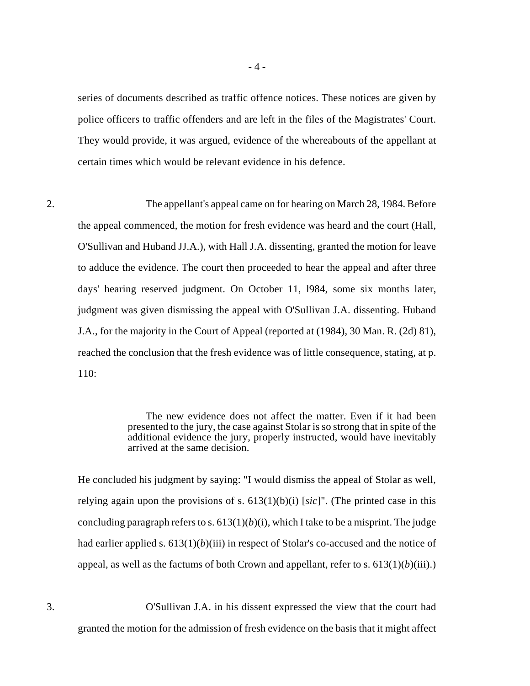- 4 -

series of documents described as traffic offence notices. These notices are given by police officers to traffic offenders and are left in the files of the Magistrates' Court. They would provide, it was argued, evidence of the whereabouts of the appellant at certain times which would be relevant evidence in his defence.

2. The appellant's appeal came on for hearing on March 28, 1984. Before the appeal commenced, the motion for fresh evidence was heard and the court (Hall, O'Sullivan and Huband JJ.A.), with Hall J.A. dissenting, granted the motion for leave to adduce the evidence. The court then proceeded to hear the appeal and after three days' hearing reserved judgment. On October 11, l984, some six months later, judgment was given dismissing the appeal with O'Sullivan J.A. dissenting. Huband J.A., for the majority in the Court of Appeal (reported at (1984), 30 Man. R. (2d) 81), reached the conclusion that the fresh evidence was of little consequence, stating, at p. 110:

> The new evidence does not affect the matter. Even if it had been presented to the jury, the case against Stolar is so strong that in spite of the additional evidence the jury, properly instructed, would have inevitably arrived at the same decision.

He concluded his judgment by saying: "I would dismiss the appeal of Stolar as well, relying again upon the provisions of s. 613(1)(b)(i) [*sic*]". (The printed case in this concluding paragraph refers to s.  $613(1)(b)(i)$ , which I take to be a misprint. The judge had earlier applied s.  $613(1)(b)(iii)$  in respect of Stolar's co-accused and the notice of appeal, as well as the factums of both Crown and appellant, refer to s.  $613(1)(b)(iii)$ .)

3. O'Sullivan J.A. in his dissent expressed the view that the court had granted the motion for the admission of fresh evidence on the basis that it might affect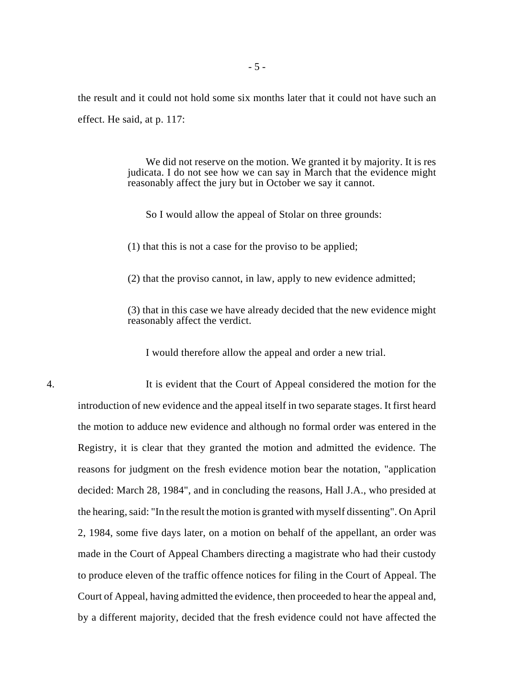the result and it could not hold some six months later that it could not have such an effect. He said, at p. 117:

> We did not reserve on the motion. We granted it by majority. It is res judicata. I do not see how we can say in March that the evidence might reasonably affect the jury but in October we say it cannot.

So I would allow the appeal of Stolar on three grounds:

(1) that this is not a case for the proviso to be applied;

(2) that the proviso cannot, in law, apply to new evidence admitted;

(3) that in this case we have already decided that the new evidence might reasonably affect the verdict.

I would therefore allow the appeal and order a new trial.

4. It is evident that the Court of Appeal considered the motion for the introduction of new evidence and the appeal itself in two separate stages. It first heard the motion to adduce new evidence and although no formal order was entered in the Registry, it is clear that they granted the motion and admitted the evidence. The reasons for judgment on the fresh evidence motion bear the notation, "application decided: March 28, 1984", and in concluding the reasons, Hall J.A., who presided at the hearing, said: "In the result the motion is granted with myself dissenting". On April 2, 1984, some five days later, on a motion on behalf of the appellant, an order was made in the Court of Appeal Chambers directing a magistrate who had their custody to produce eleven of the traffic offence notices for filing in the Court of Appeal. The Court of Appeal, having admitted the evidence, then proceeded to hear the appeal and, by a different majority, decided that the fresh evidence could not have affected the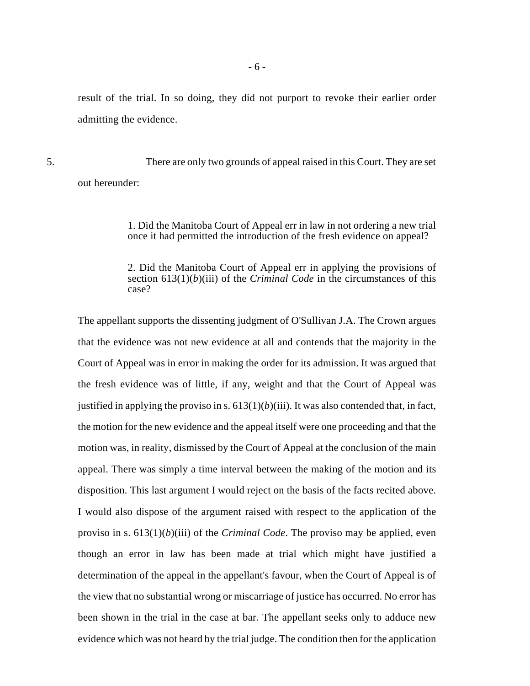result of the trial. In so doing, they did not purport to revoke their earlier order admitting the evidence.

5. There are only two grounds of appeal raised in this Court. They are set out hereunder:

> 1. Did the Manitoba Court of Appeal err in law in not ordering a new trial once it had permitted the introduction of the fresh evidence on appeal?

> 2. Did the Manitoba Court of Appeal err in applying the provisions of section 613(1)(*b*)(iii) of the *Criminal Code* in the circumstances of this case?

The appellant supports the dissenting judgment of O'Sullivan J.A. The Crown argues that the evidence was not new evidence at all and contends that the majority in the Court of Appeal was in error in making the order for its admission. It was argued that the fresh evidence was of little, if any, weight and that the Court of Appeal was justified in applying the proviso in s.  $613(1)(b)(iii)$ . It was also contended that, in fact, the motion for the new evidence and the appeal itself were one proceeding and that the motion was, in reality, dismissed by the Court of Appeal at the conclusion of the main appeal. There was simply a time interval between the making of the motion and its disposition. This last argument I would reject on the basis of the facts recited above. I would also dispose of the argument raised with respect to the application of the proviso in s. 613(1)(*b*)(iii) of the *Criminal Code*. The proviso may be applied, even though an error in law has been made at trial which might have justified a determination of the appeal in the appellant's favour, when the Court of Appeal is of the view that no substantial wrong or miscarriage of justice has occurred. No error has been shown in the trial in the case at bar. The appellant seeks only to adduce new evidence which was not heard by the trial judge. The condition then for the application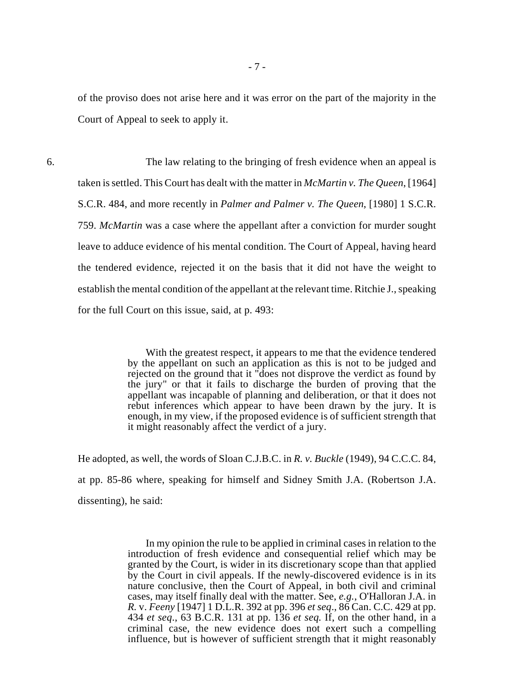of the proviso does not arise here and it was error on the part of the majority in the Court of Appeal to seek to apply it.

6. The law relating to the bringing of fresh evidence when an appeal is taken is settled. This Court has dealt with the matter in *McMartin v. The Queen*, [1964] S.C.R. 484, and more recently in *Palmer and Palmer v. The Queen*, [1980] 1 S.C.R. 759. *McMartin* was a case where the appellant after a conviction for murder sought leave to adduce evidence of his mental condition. The Court of Appeal, having heard the tendered evidence, rejected it on the basis that it did not have the weight to establish the mental condition of the appellant at the relevant time. Ritchie J., speaking for the full Court on this issue, said, at p. 493:

> With the greatest respect, it appears to me that the evidence tendered by the appellant on such an application as this is not to be judged and rejected on the ground that it "does not disprove the verdict as found by the jury" or that it fails to discharge the burden of proving that the appellant was incapable of planning and deliberation, or that it does not rebut inferences which appear to have been drawn by the jury. It is enough, in my view, if the proposed evidence is of sufficient strength that it might reasonably affect the verdict of a jury.

He adopted, as well, the words of Sloan C.J.B.C. in *R. v. Buckle* (1949), 94 C.C.C. 84, at pp. 85-86 where, speaking for himself and Sidney Smith J.A. (Robertson J.A. dissenting), he said:

> In my opinion the rule to be applied in criminal cases in relation to the introduction of fresh evidence and consequential relief which may be granted by the Court, is wider in its discretionary scope than that applied by the Court in civil appeals. If the newly-discovered evidence is in its nature conclusive, then the Court of Appeal, in both civil and criminal cases, may itself finally deal with the matter. See, *e.g.*, O'Halloran J.A. in *R.* v. *Feeny* [1947] 1 D.L.R. 392 at pp. 396 *et seq*., 86 Can. C.C. 429 at pp. 434 *et seq*., 63 B.C.R. 131 at pp. 136 *et seq.* If, on the other hand, in a criminal case, the new evidence does not exert such a compelling influence, but is however of sufficient strength that it might reasonably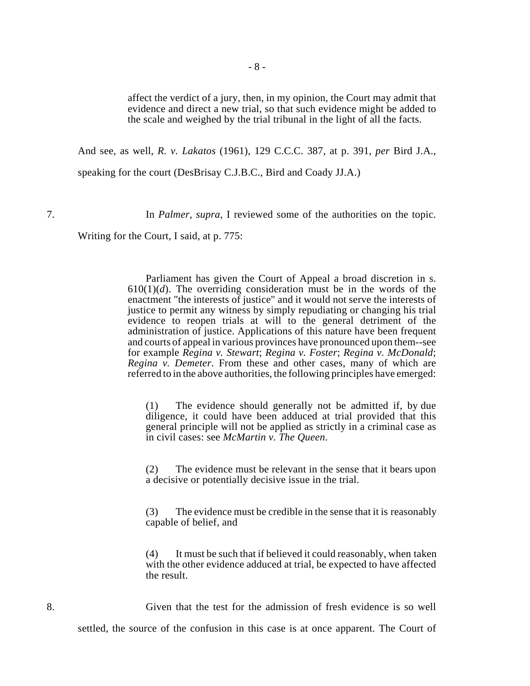affect the verdict of a jury, then, in my opinion, the Court may admit that evidence and direct a new trial, so that such evidence might be added to the scale and weighed by the trial tribunal in the light of all the facts.

And see, as well, *R. v. Lakatos* (1961), 129 C.C.C. 387, at p. 391, *per* Bird J.A.,

speaking for the court (DesBrisay C.J.B.C., Bird and Coady JJ.A.)

7. In *Palmer*, *supra*, I reviewed some of the authorities on the topic.

Writing for the Court, I said, at p. 775:

Parliament has given the Court of Appeal a broad discretion in s.  $610(1)(d)$ . The overriding consideration must be in the words of the enactment "the interests of justice" and it would not serve the interests of justice to permit any witness by simply repudiating or changing his trial evidence to reopen trials at will to the general detriment of the administration of justice. Applications of this nature have been frequent and courts of appeal in various provinces have pronounced upon them--see for example *Regina v. Stewart*; *Regina v. Foster*; *Regina v. McDonald*; *Regina v. Demeter*. From these and other cases, many of which are referred to in the above authorities, the following principles have emerged:

(1) The evidence should generally not be admitted if, by due diligence, it could have been adduced at trial provided that this general principle will not be applied as strictly in a criminal case as in civil cases: see *McMartin v. The Queen*.

(2) The evidence must be relevant in the sense that it bears upon a decisive or potentially decisive issue in the trial.

(3) The evidence must be credible in the sense that it is reasonably capable of belief, and

(4) It must be such that if believed it could reasonably, when taken with the other evidence adduced at trial, be expected to have affected the result.

8. Given that the test for the admission of fresh evidence is so well settled, the source of the confusion in this case is at once apparent. The Court of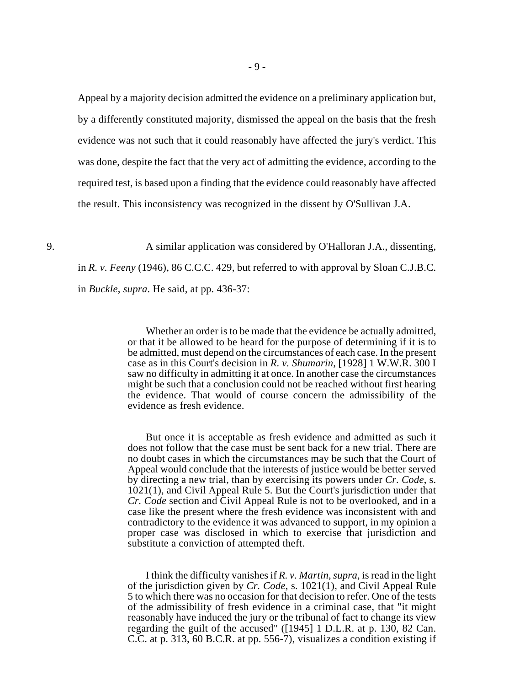Appeal by a majority decision admitted the evidence on a preliminary application but, by a differently constituted majority, dismissed the appeal on the basis that the fresh evidence was not such that it could reasonably have affected the jury's verdict. This was done, despite the fact that the very act of admitting the evidence, according to the required test, is based upon a finding that the evidence could reasonably have affected the result. This inconsistency was recognized in the dissent by O'Sullivan J.A.

9. A similar application was considered by O'Halloran J.A., dissenting, in *R. v. Feeny* (1946), 86 C.C.C. 429, but referred to with approval by Sloan C.J.B.C. in *Buckle*, *supra*. He said, at pp. 436-37:

> Whether an order is to be made that the evidence be actually admitted, or that it be allowed to be heard for the purpose of determining if it is to be admitted, must depend on the circumstances of each case. In the present case as in this Court's decision in *R. v. Shumarin*, [1928] 1 W.W.R. 300 I saw no difficulty in admitting it at once. In another case the circumstances might be such that a conclusion could not be reached without first hearing the evidence. That would of course concern the admissibility of the evidence as fresh evidence.

> But once it is acceptable as fresh evidence and admitted as such it does not follow that the case must be sent back for a new trial. There are no doubt cases in which the circumstances may be such that the Court of Appeal would conclude that the interests of justice would be better served by directing a new trial, than by exercising its powers under *Cr. Code*, s. 1021(1), and Civil Appeal Rule 5. But the Court's jurisdiction under that *Cr. Code* section and Civil Appeal Rule is not to be overlooked, and in a case like the present where the fresh evidence was inconsistent with and contradictory to the evidence it was advanced to support, in my opinion a proper case was disclosed in which to exercise that jurisdiction and substitute a conviction of attempted theft.

> I think the difficulty vanishes if *R. v. Martin*, *supra*, is read in the light of the jurisdiction given by *Cr. Code*, s. 1021(1), and Civil Appeal Rule 5 to which there was no occasion for that decision to refer. One of the tests of the admissibility of fresh evidence in a criminal case, that "it might reasonably have induced the jury or the tribunal of fact to change its view regarding the guilt of the accused" ([1945] 1 D.L.R. at p. 130, 82 Can. C.C. at p. 313, 60 B.C.R. at pp. 556-7), visualizes a condition existing if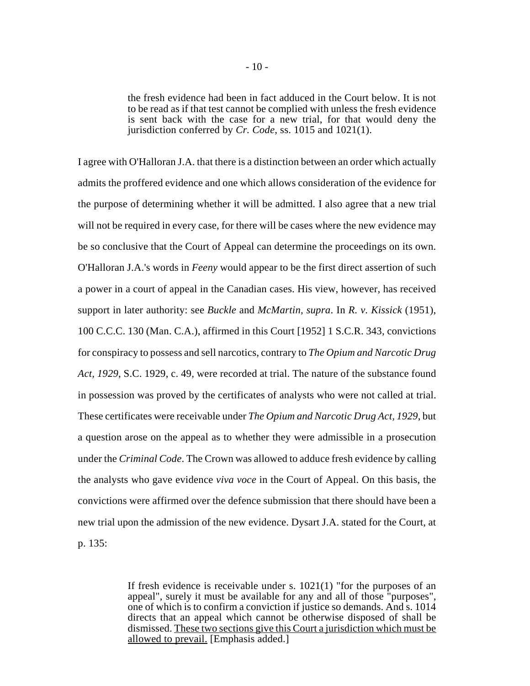the fresh evidence had been in fact adduced in the Court below. It is not to be read as if that test cannot be complied with unless the fresh evidence is sent back with the case for a new trial, for that would deny the jurisdiction conferred by *Cr. Code*, ss. 1015 and 1021(1).

I agree with O'Halloran J.A. that there is a distinction between an order which actually admits the proffered evidence and one which allows consideration of the evidence for the purpose of determining whether it will be admitted. I also agree that a new trial will not be required in every case, for there will be cases where the new evidence may be so conclusive that the Court of Appeal can determine the proceedings on its own. O'Halloran J.A.'s words in *Feeny* would appear to be the first direct assertion of such a power in a court of appeal in the Canadian cases. His view, however, has received support in later authority: see *Buckle* and *McMartin*, *supra*. In *R. v. Kissick* (1951), 100 C.C.C. 130 (Man. C.A.), affirmed in this Court [1952] 1 S.C.R. 343, convictions for conspiracy to possess and sell narcotics, contrary to *The Opium and Narcotic Drug Act, 1929*, S.C. 1929, c. 49, were recorded at trial. The nature of the substance found in possession was proved by the certificates of analysts who were not called at trial. These certificates were receivable under *The Opium and Narcotic Drug Act, 1929*, but a question arose on the appeal as to whether they were admissible in a prosecution under the *Criminal Code*. The Crown was allowed to adduce fresh evidence by calling the analysts who gave evidence *viva voce* in the Court of Appeal. On this basis, the convictions were affirmed over the defence submission that there should have been a new trial upon the admission of the new evidence. Dysart J.A. stated for the Court, at p. 135:

> If fresh evidence is receivable under s. 1021(1) "for the purposes of an appeal", surely it must be available for any and all of those "purposes", one of which is to confirm a conviction if justice so demands. And s. 1014 directs that an appeal which cannot be otherwise disposed of shall be dismissed. These two sections give this Court a jurisdiction which must be allowed to prevail. [Emphasis added.]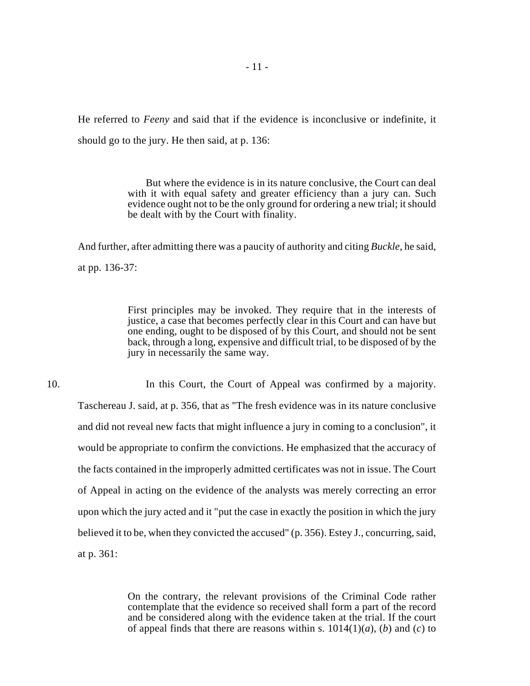He referred to *Feeny* and said that if the evidence is inconclusive or indefinite, it should go to the jury. He then said, at p. 136:

> But where the evidence is in its nature conclusive, the Court can deal with it with equal safety and greater efficiency than a jury can. Such evidence ought not to be the only ground for ordering a new trial; it should be dealt with by the Court with finality.

And further, after admitting there was a paucity of authority and citing *Buckle*, he said, at pp. 136-37:

> First principles may be invoked. They require that in the interests of justice, a case that becomes perfectly clear in this Court and can have but one ending, ought to be disposed of by this Court, and should not be sent back, through a long, expensive and difficult trial, to be disposed of by the jury in necessarily the same way.

10. In this Court, the Court of Appeal was confirmed by a majority. Taschereau J. said, at p. 356, that as "The fresh evidence was in its nature conclusive and did not reveal new facts that might influence a jury in coming to a conclusion", it would be appropriate to confirm the convictions. He emphasized that the accuracy of the facts contained in the improperly admitted certificates was not in issue. The Court of Appeal in acting on the evidence of the analysts was merely correcting an error upon which the jury acted and it "put the case in exactly the position in which the jury believed it to be, when they convicted the accused" (p. 356). Estey J., concurring, said, at p. 361:

> On the contrary, the relevant provisions of the Criminal Code rather contemplate that the evidence so received shall form a part of the record and be considered along with the evidence taken at the trial. If the court of appeal finds that there are reasons within s.  $1014(1)(a)$ , (*b*) and (*c*) to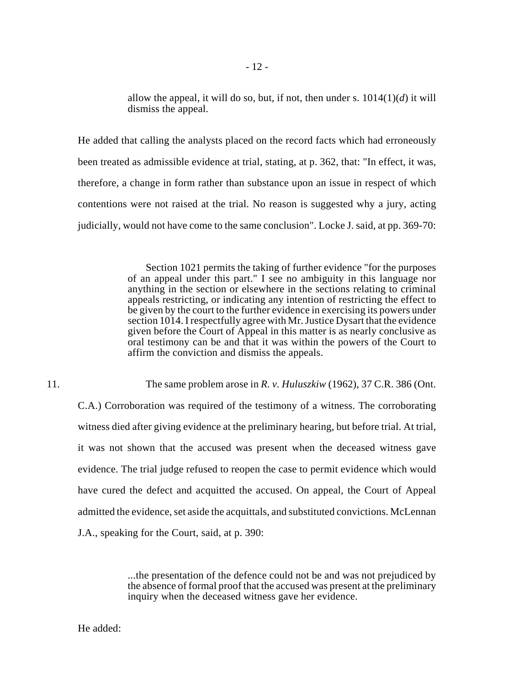allow the appeal, it will do so, but, if not, then under s.  $1014(1)(d)$  it will dismiss the appeal.

He added that calling the analysts placed on the record facts which had erroneously been treated as admissible evidence at trial, stating, at p. 362, that: "In effect, it was, therefore, a change in form rather than substance upon an issue in respect of which contentions were not raised at the trial. No reason is suggested why a jury, acting judicially, would not have come to the same conclusion". Locke J. said, at pp. 369-70:

> Section 1021 permits the taking of further evidence "for the purposes of an appeal under this part." I see no ambiguity in this language nor anything in the section or elsewhere in the sections relating to criminal appeals restricting, or indicating any intention of restricting the effect to be given by the court to the further evidence in exercising its powers under section 1014. I respectfully agree with Mr. Justice Dysart that the evidence given before the Court of Appeal in this matter is as nearly conclusive as oral testimony can be and that it was within the powers of the Court to affirm the conviction and dismiss the appeals.

11. The same problem arose in *R. v. Huluszkiw* (1962), 37 C.R. 386 (Ont.

C.A.) Corroboration was required of the testimony of a witness. The corroborating witness died after giving evidence at the preliminary hearing, but before trial. At trial, it was not shown that the accused was present when the deceased witness gave evidence. The trial judge refused to reopen the case to permit evidence which would have cured the defect and acquitted the accused. On appeal, the Court of Appeal admitted the evidence, set aside the acquittals, and substituted convictions. McLennan J.A., speaking for the Court, said, at p. 390:

> ...the presentation of the defence could not be and was not prejudiced by the absence of formal proof that the accused was present at the preliminary inquiry when the deceased witness gave her evidence.

He added: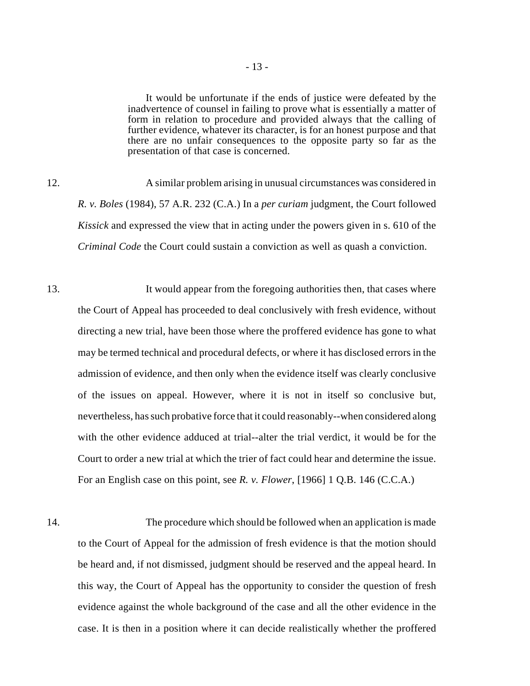It would be unfortunate if the ends of justice were defeated by the inadvertence of counsel in failing to prove what is essentially a matter of form in relation to procedure and provided always that the calling of further evidence, whatever its character, is for an honest purpose and that there are no unfair consequences to the opposite party so far as the presentation of that case is concerned.

12. A similar problem arising in unusual circumstances was considered in *R. v. Boles* (1984), 57 A.R. 232 (C.A.) In a *per curiam* judgment, the Court followed *Kissick* and expressed the view that in acting under the powers given in s. 610 of the *Criminal Code* the Court could sustain a conviction as well as quash a conviction.

13. It would appear from the foregoing authorities then, that cases where the Court of Appeal has proceeded to deal conclusively with fresh evidence, without directing a new trial, have been those where the proffered evidence has gone to what may be termed technical and procedural defects, or where it has disclosed errors in the admission of evidence, and then only when the evidence itself was clearly conclusive of the issues on appeal. However, where it is not in itself so conclusive but, nevertheless, has such probative force that it could reasonably--when considered along with the other evidence adduced at trial--alter the trial verdict, it would be for the Court to order a new trial at which the trier of fact could hear and determine the issue. For an English case on this point, see *R. v. Flower*, [1966] 1 Q.B. 146 (C.C.A.)

14. The procedure which should be followed when an application is made to the Court of Appeal for the admission of fresh evidence is that the motion should be heard and, if not dismissed, judgment should be reserved and the appeal heard. In this way, the Court of Appeal has the opportunity to consider the question of fresh evidence against the whole background of the case and all the other evidence in the case. It is then in a position where it can decide realistically whether the proffered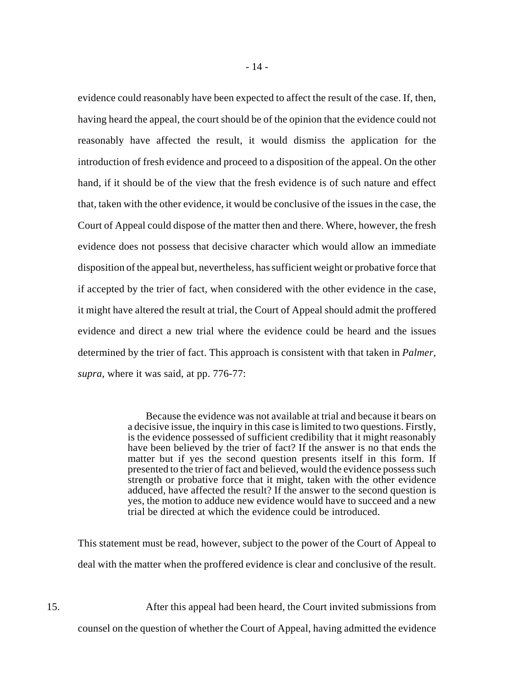evidence could reasonably have been expected to affect the result of the case. If, then, having heard the appeal, the court should be of the opinion that the evidence could not reasonably have affected the result, it would dismiss the application for the introduction of fresh evidence and proceed to a disposition of the appeal. On the other hand, if it should be of the view that the fresh evidence is of such nature and effect that, taken with the other evidence, it would be conclusive of the issues in the case, the Court of Appeal could dispose of the matter then and there. Where, however, the fresh evidence does not possess that decisive character which would allow an immediate disposition of the appeal but, nevertheless, has sufficient weight or probative force that if accepted by the trier of fact, when considered with the other evidence in the case, it might have altered the result at trial, the Court of Appeal should admit the proffered evidence and direct a new trial where the evidence could be heard and the issues determined by the trier of fact. This approach is consistent with that taken in *Palmer*, *supra*, where it was said, at pp. 776-77:

> Because the evidence was not available at trial and because it bears on a decisive issue, the inquiry in this case is limited to two questions. Firstly, is the evidence possessed of sufficient credibility that it might reasonably have been believed by the trier of fact? If the answer is no that ends the matter but if yes the second question presents itself in this form. If presented to the trier of fact and believed, would the evidence possess such strength or probative force that it might, taken with the other evidence adduced, have affected the result? If the answer to the second question is yes, the motion to adduce new evidence would have to succeed and a new trial be directed at which the evidence could be introduced.

This statement must be read, however, subject to the power of the Court of Appeal to deal with the matter when the proffered evidence is clear and conclusive of the result.

15. After this appeal had been heard, the Court invited submissions from counsel on the question of whether the Court of Appeal, having admitted the evidence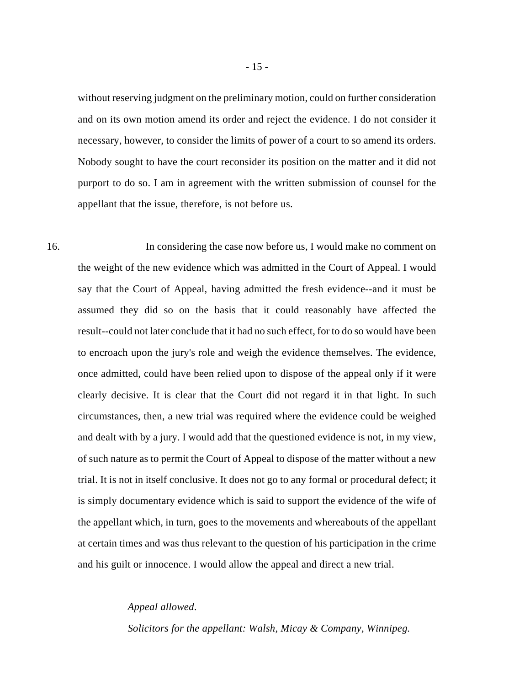without reserving judgment on the preliminary motion, could on further consideration and on its own motion amend its order and reject the evidence. I do not consider it necessary, however, to consider the limits of power of a court to so amend its orders. Nobody sought to have the court reconsider its position on the matter and it did not purport to do so. I am in agreement with the written submission of counsel for the appellant that the issue, therefore, is not before us.

16. In considering the case now before us, I would make no comment on the weight of the new evidence which was admitted in the Court of Appeal. I would say that the Court of Appeal, having admitted the fresh evidence--and it must be assumed they did so on the basis that it could reasonably have affected the result--could not later conclude that it had no such effect, for to do so would have been to encroach upon the jury's role and weigh the evidence themselves. The evidence, once admitted, could have been relied upon to dispose of the appeal only if it were clearly decisive. It is clear that the Court did not regard it in that light. In such circumstances, then, a new trial was required where the evidence could be weighed and dealt with by a jury. I would add that the questioned evidence is not, in my view, of such nature as to permit the Court of Appeal to dispose of the matter without a new trial. It is not in itself conclusive. It does not go to any formal or procedural defect; it is simply documentary evidence which is said to support the evidence of the wife of the appellant which, in turn, goes to the movements and whereabouts of the appellant at certain times and was thus relevant to the question of his participation in the crime and his guilt or innocence. I would allow the appeal and direct a new trial.

#### *Appeal allowed*.

*Solicitors for the appellant: Walsh, Micay & Company, Winnipeg.*